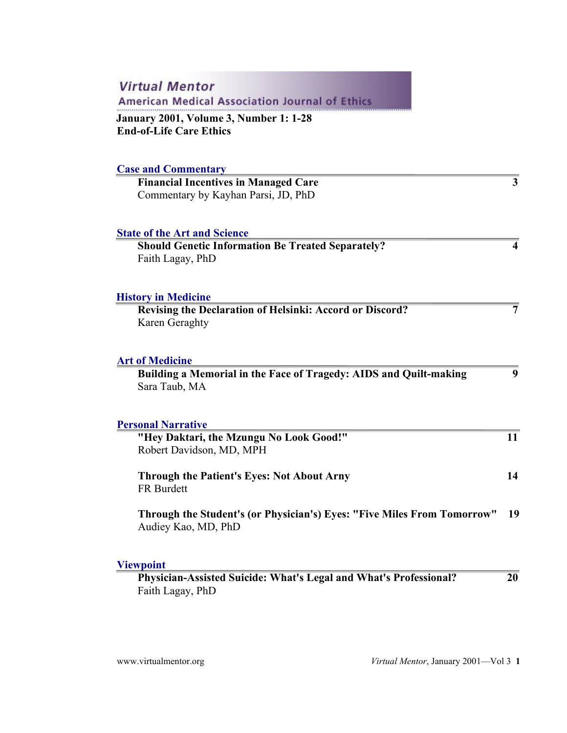| <b>Virtual Mentor</b><br><b>American Medical Association Journal of Ethics</b>                 |                |
|------------------------------------------------------------------------------------------------|----------------|
| January 2001, Volume 3, Number 1: 1-28<br><b>End-of-Life Care Ethics</b>                       |                |
| <b>Case and Commentary</b>                                                                     |                |
| <b>Financial Incentives in Managed Care</b><br>Commentary by Kayhan Parsi, JD, PhD             | 3              |
| <b>State of the Art and Science</b>                                                            |                |
| <b>Should Genetic Information Be Treated Separately?</b><br>Faith Lagay, PhD                   | 4              |
| <b>History in Medicine</b><br><b>Revising the Declaration of Helsinki: Accord or Discord?</b>  | $\overline{7}$ |
| Karen Geraghty                                                                                 |                |
| <b>Art of Medicine</b>                                                                         |                |
| Building a Memorial in the Face of Tragedy: AIDS and Quilt-making<br>Sara Taub, MA             | 9              |
| <b>Personal Narrative</b>                                                                      |                |
| "Hey Daktari, the Mzungu No Look Good!"<br>Robert Davidson, MD, MPH                            | 11             |
| <b>Through the Patient's Eyes: Not About Arny</b><br>FR Burdett                                | 14             |
| Through the Student's (or Physician's) Eyes: "Five Miles From Tomorrow"<br>Audiey Kao, MD, PhD | 19             |
| <b>Viewpoint</b>                                                                               |                |
| Physician-Assisted Suicide: What's Legal and What's Professional?<br>Faith Lagay, PhD          | 20             |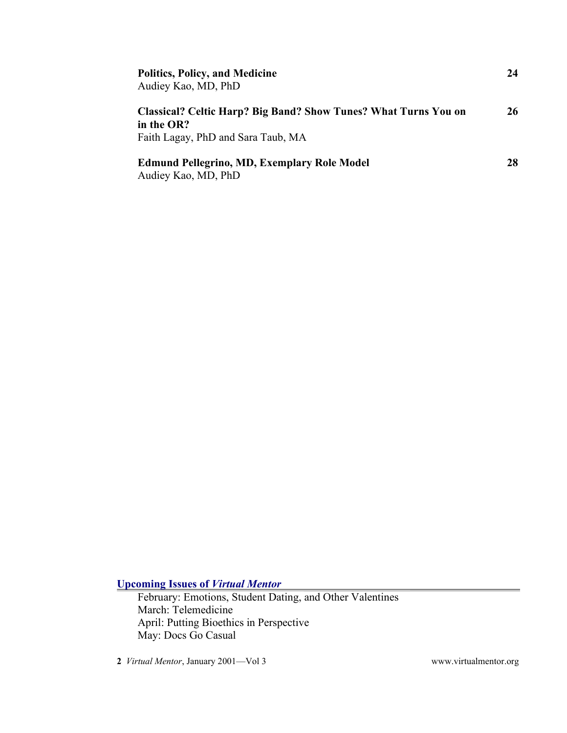| <b>Politics, Policy, and Medicine</b><br>Audiey Kao, MD, PhD                                                               | 24 |
|----------------------------------------------------------------------------------------------------------------------------|----|
| <b>Classical? Celtic Harp? Big Band? Show Tunes? What Turns You on</b><br>in the OR?<br>Faith Lagay, PhD and Sara Taub, MA | 26 |
| <b>Edmund Pellegrino, MD, Exemplary Role Model</b><br>Audiey Kao, MD, PhD                                                  | 28 |

**Upcoming Issues of** *Virtual Mentor*

February: Emotions, Student Dating, and Other Valentines March: Telemedicine April: Putting Bioethics in Perspective May: Docs Go Casual

**2** *Virtual Mentor*, January 2001—Vol 3 [www.virtualmentor.org](http://www.virtualmentor.org/)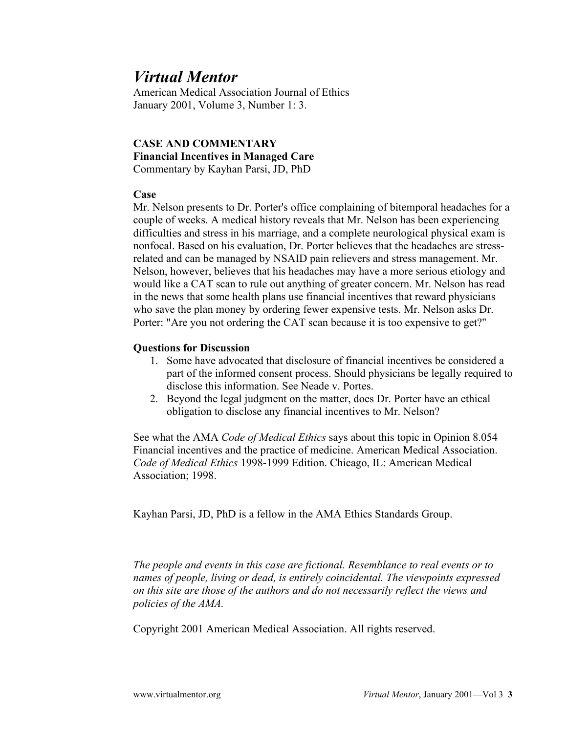American Medical Association Journal of Ethics January 2001, Volume 3, Number 1: 3.

### **CASE AND COMMENTARY Financial Incentives in Managed Care** Commentary by Kayhan Parsi, JD, PhD

### **Case**

Mr. Nelson presents to Dr. Porter's office complaining of bitemporal headaches for a couple of weeks. A medical history reveals that Mr. Nelson has been experiencing difficulties and stress in his marriage, and a complete neurological physical exam is nonfocal. Based on his evaluation, Dr. Porter believes that the headaches are stressrelated and can be managed by NSAID pain relievers and stress management. Mr. Nelson, however, believes that his headaches may have a more serious etiology and would like a CAT scan to rule out anything of greater concern. Mr. Nelson has read in the news that some health plans use financial incentives that reward physicians who save the plan money by ordering fewer expensive tests. Mr. Nelson asks Dr. Porter: "Are you not ordering the CAT scan because it is too expensive to get?"

### **Questions for Discussion**

- 1. Some have advocated that disclosure of financial incentives be considered a part of the informed consent process. Should physicians be legally required to disclose this information. See Neade v. Portes.
- 2. Beyond the legal judgment on the matter, does Dr. Porter have an ethical obligation to disclose any financial incentives to Mr. Nelson?

See what the AMA *Code of Medical Ethics* says about this topic in Opinion 8.054 Financial incentives and the practice of medicine. American Medical Association. *Code of Medical Ethics* 1998-1999 Edition. Chicago, IL: American Medical Association; 1998.

Kayhan Parsi, JD, PhD is a fellow in the AMA Ethics Standards Group.

*The people and events in this case are fictional. Resemblance to real events or to names of people, living or dead, is entirely coincidental. The viewpoints expressed on this site are those of the authors and do not necessarily reflect the views and policies of the AMA.*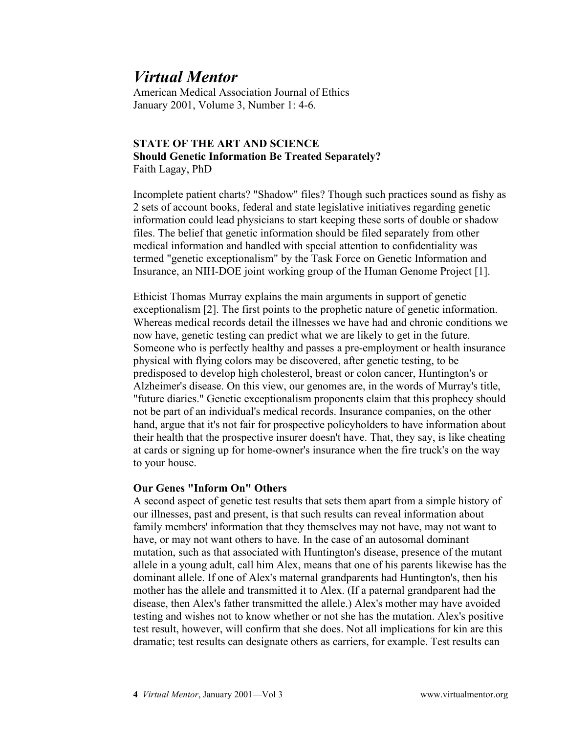American Medical Association Journal of Ethics January 2001, Volume 3, Number 1: 4-6.

### **STATE OF THE ART AND SCIENCE Should Genetic Information Be Treated Separately?** Faith Lagay, PhD

Incomplete patient charts? "Shadow" files? Though such practices sound as fishy as 2 sets of account books, federal and state legislative initiatives regarding genetic information could lead physicians to start keeping these sorts of double or shadow files. The belief that genetic information should be filed separately from other medical information and handled with special attention to confidentiality was termed "genetic exceptionalism" by the Task Force on Genetic Information and Insurance, an NIH-DOE joint working group of the Human Genome Project [1].

Ethicist Thomas Murray explains the main arguments in support of genetic exceptionalism [2]. The first points to the prophetic nature of genetic information. Whereas medical records detail the illnesses we have had and chronic conditions we now have, genetic testing can predict what we are likely to get in the future. Someone who is perfectly healthy and passes a pre-employment or health insurance physical with flying colors may be discovered, after genetic testing, to be predisposed to develop high cholesterol, breast or colon cancer, Huntington's or Alzheimer's disease. On this view, our genomes are, in the words of Murray's title, "future diaries." Genetic exceptionalism proponents claim that this prophecy should not be part of an individual's medical records. Insurance companies, on the other hand, argue that it's not fair for prospective policyholders to have information about their health that the prospective insurer doesn't have. That, they say, is like cheating at cards or signing up for home-owner's insurance when the fire truck's on the way to your house.

### **Our Genes "Inform On" Others**

A second aspect of genetic test results that sets them apart from a simple history of our illnesses, past and present, is that such results can reveal information about family members' information that they themselves may not have, may not want to have, or may not want others to have. In the case of an autosomal dominant mutation, such as that associated with Huntington's disease, presence of the mutant allele in a young adult, call him Alex, means that one of his parents likewise has the dominant allele. If one of Alex's maternal grandparents had Huntington's, then his mother has the allele and transmitted it to Alex. (If a paternal grandparent had the disease, then Alex's father transmitted the allele.) Alex's mother may have avoided testing and wishes not to know whether or not she has the mutation. Alex's positive test result, however, will confirm that she does. Not all implications for kin are this dramatic; test results can designate others as carriers, for example. Test results can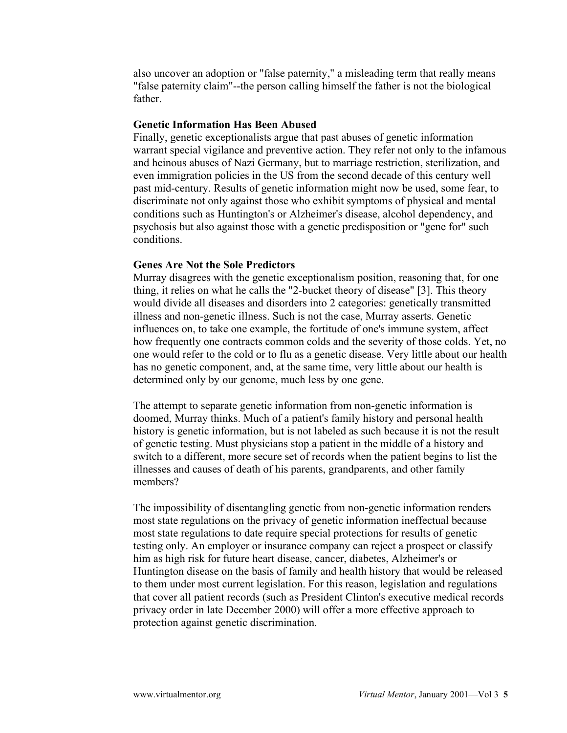also uncover an adoption or "false paternity," a misleading term that really means "false paternity claim"--the person calling himself the father is not the biological father.

### **Genetic Information Has Been Abused**

Finally, genetic exceptionalists argue that past abuses of genetic information warrant special vigilance and preventive action. They refer not only to the infamous and heinous abuses of Nazi Germany, but to marriage restriction, sterilization, and even immigration policies in the US from the second decade of this century well past mid-century. Results of genetic information might now be used, some fear, to discriminate not only against those who exhibit symptoms of physical and mental conditions such as Huntington's or Alzheimer's disease, alcohol dependency, and psychosis but also against those with a genetic predisposition or "gene for" such conditions.

#### **Genes Are Not the Sole Predictors**

Murray disagrees with the genetic exceptionalism position, reasoning that, for one thing, it relies on what he calls the "2-bucket theory of disease" [3]. This theory would divide all diseases and disorders into 2 categories: genetically transmitted illness and non-genetic illness. Such is not the case, Murray asserts. Genetic influences on, to take one example, the fortitude of one's immune system, affect how frequently one contracts common colds and the severity of those colds. Yet, no one would refer to the cold or to flu as a genetic disease. Very little about our health has no genetic component, and, at the same time, very little about our health is determined only by our genome, much less by one gene.

The attempt to separate genetic information from non-genetic information is doomed, Murray thinks. Much of a patient's family history and personal health history is genetic information, but is not labeled as such because it is not the result of genetic testing. Must physicians stop a patient in the middle of a history and switch to a different, more secure set of records when the patient begins to list the illnesses and causes of death of his parents, grandparents, and other family members?

The impossibility of disentangling genetic from non-genetic information renders most state regulations on the privacy of genetic information ineffectual because most state regulations to date require special protections for results of genetic testing only. An employer or insurance company can reject a prospect or classify him as high risk for future heart disease, cancer, diabetes, Alzheimer's or Huntington disease on the basis of family and health history that would be released to them under most current legislation. For this reason, legislation and regulations that cover all patient records (such as President Clinton's executive medical records privacy order in late December 2000) will offer a more effective approach to protection against genetic discrimination.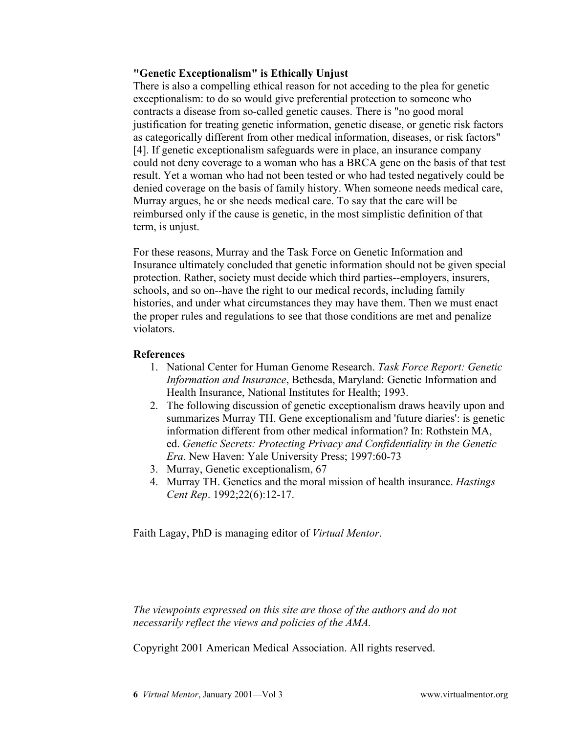### **"Genetic Exceptionalism" is Ethically Unjust**

There is also a compelling ethical reason for not acceding to the plea for genetic exceptionalism: to do so would give preferential protection to someone who contracts a disease from so-called genetic causes. There is "no good moral justification for treating genetic information, genetic disease, or genetic risk factors as categorically different from other medical information, diseases, or risk factors" [4]. If genetic exceptionalism safeguards were in place, an insurance company could not deny coverage to a woman who has a BRCA gene on the basis of that test result. Yet a woman who had not been tested or who had tested negatively could be denied coverage on the basis of family history. When someone needs medical care, Murray argues, he or she needs medical care. To say that the care will be reimbursed only if the cause is genetic, in the most simplistic definition of that term, is unjust.

For these reasons, Murray and the Task Force on Genetic Information and Insurance ultimately concluded that genetic information should not be given special protection. Rather, society must decide which third parties--employers, insurers, schools, and so on--have the right to our medical records, including family histories, and under what circumstances they may have them. Then we must enact the proper rules and regulations to see that those conditions are met and penalize violators.

### **References**

- 1. National Center for Human Genome Research. *Task Force Report: Genetic Information and Insurance*, Bethesda, Maryland: Genetic Information and Health Insurance, National Institutes for Health; 1993.
- 2. The following discussion of genetic exceptionalism draws heavily upon and summarizes Murray TH. Gene exceptionalism and 'future diaries': is genetic information different from other medical information? In: Rothstein MA, ed. *Genetic Secrets: Protecting Privacy and Confidentiality in the Genetic Era*. New Haven: Yale University Press; 1997:60-73
- 3. Murray, Genetic exceptionalism, 67
- 4. Murray TH. Genetics and the moral mission of health insurance. *Hastings Cent Rep*. 1992;22(6):12-17.

Faith Lagay, PhD is managing editor of *Virtual Mentor*.

*The viewpoints expressed on this site are those of the authors and do not necessarily reflect the views and policies of the AMA.*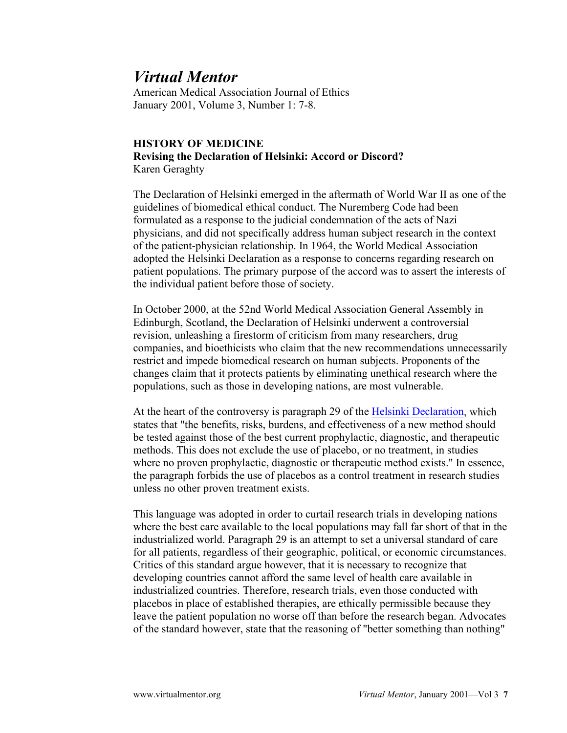American Medical Association Journal of Ethics January 2001, Volume 3, Number 1: 7-8.

## **HISTORY OF MEDICINE Revising the Declaration of Helsinki: Accord or Discord?** Karen Geraghty

The Declaration of Helsinki emerged in the aftermath of World War II as one of the guidelines of biomedical ethical conduct. The Nuremberg Code had been formulated as a response to the judicial condemnation of the acts of Nazi physicians, and did not specifically address human subject research in the context of the patient-physician relationship. In 1964, the World Medical Association adopted the Helsinki Declaration as a response to concerns regarding research on patient populations. The primary purpose of the accord was to assert the interests of the individual patient before those of society.

In October 2000, at the 52nd World Medical Association General Assembly in Edinburgh, Scotland, the Declaration of Helsinki underwent a controversial revision, unleashing a firestorm of criticism from many researchers, drug companies, and bioethicists who claim that the new recommendations unnecessarily restrict and impede biomedical research on human subjects. Proponents of the changes claim that it protects patients by eliminating unethical research where the populations, such as those in developing nations, are most vulnerable.

At the heart of the controversy is paragraph 29 of the [Helsinki Declaration,](http://www.wma.net/e/policy/b3.htm) which states that "the benefits, risks, burdens, and effectiveness of a new method should be tested against those of the best current prophylactic, diagnostic, and therapeutic methods. This does not exclude the use of placebo, or no treatment, in studies where no proven prophylactic, diagnostic or therapeutic method exists." In essence, the paragraph forbids the use of placebos as a control treatment in research studies unless no other proven treatment exists.

This language was adopted in order to curtail research trials in developing nations where the best care available to the local populations may fall far short of that in the industrialized world. Paragraph 29 is an attempt to set a universal standard of care for all patients, regardless of their geographic, political, or economic circumstances. Critics of this standard argue however, that it is necessary to recognize that developing countries cannot afford the same level of health care available in industrialized countries. Therefore, research trials, even those conducted with placebos in place of established therapies, are ethically permissible because they leave the patient population no worse off than before the research began. Advocates of the standard however, state that the reasoning of "better something than nothing"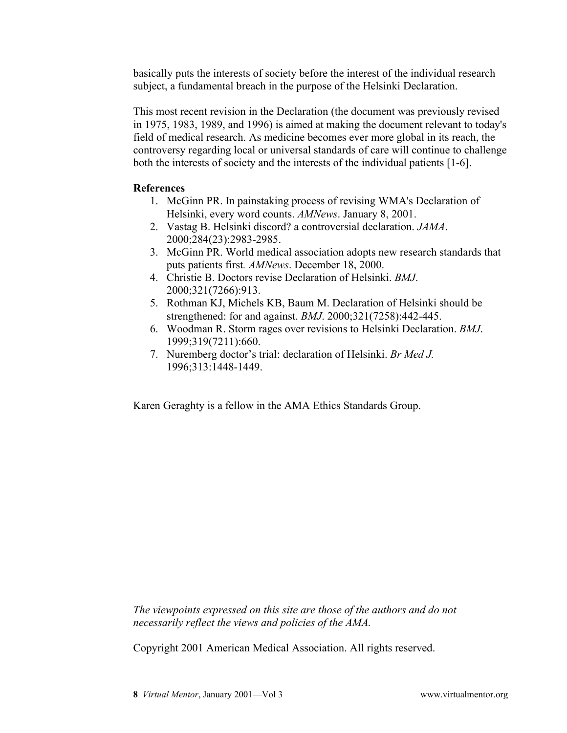basically puts the interests of society before the interest of the individual research subject, a fundamental breach in the purpose of the Helsinki Declaration.

This most recent revision in the Declaration (the document was previously revised in 1975, 1983, 1989, and 1996) is aimed at making the document relevant to today's field of medical research. As medicine becomes ever more global in its reach, the controversy regarding local or universal standards of care will continue to challenge both the interests of society and the interests of the individual patients [1-6].

## **References**

- 1. McGinn PR. In painstaking process of revising WMA's Declaration of Helsinki, every word counts. *AMNews*. January 8, 2001.
- 2. Vastag B. Helsinki discord? a controversial declaration. *JAMA*. 2000;284(23):2983-2985.
- 3. McGinn PR. World medical association adopts new research standards that puts patients first*. AMNews*. December 18, 2000.
- 4. Christie B. Doctors revise Declaration of Helsinki. *BMJ*. 2000;321(7266):913.
- 5. Rothman KJ, Michels KB, Baum M. Declaration of Helsinki should be strengthened: for and against. *BMJ*. 2000;321(7258):442-445.
- 6. Woodman R. Storm rages over revisions to Helsinki Declaration. *BMJ*. 1999;319(7211):660.
- 7. Nuremberg doctor's trial: declaration of Helsinki. *Br Med J.* 1996;313:1448-1449.

Karen Geraghty is a fellow in the AMA Ethics Standards Group.

*The viewpoints expressed on this site are those of the authors and do not necessarily reflect the views and policies of the AMA.*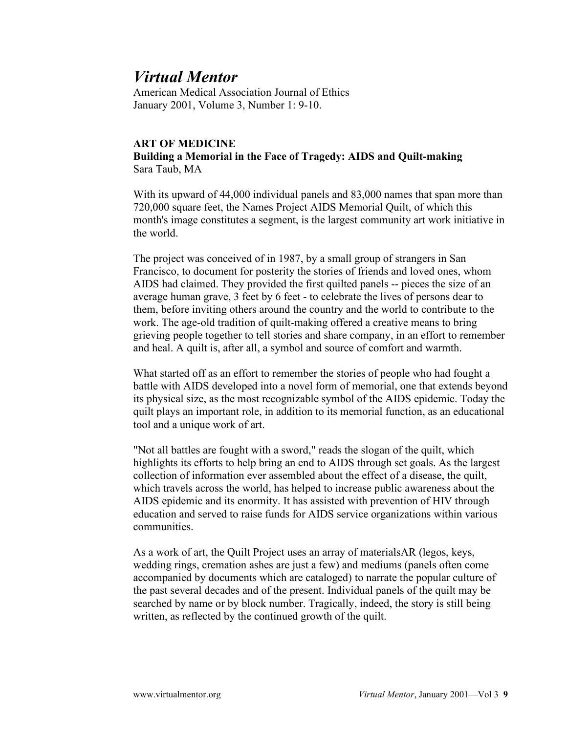American Medical Association Journal of Ethics January 2001, Volume 3, Number 1: 9-10.

#### **ART OF MEDICINE**

**Building a Memorial in the Face of Tragedy: AIDS and Quilt-making** Sara Taub, MA

With its upward of 44,000 individual panels and 83,000 names that span more than 720,000 square feet, the Names Project AIDS Memorial Quilt, of which this month's image constitutes a segment, is the largest community art work initiative in the world.

The project was conceived of in 1987, by a small group of strangers in San Francisco, to document for posterity the stories of friends and loved ones, whom AIDS had claimed. They provided the first quilted panels -- pieces the size of an average human grave, 3 feet by 6 feet - to celebrate the lives of persons dear to them, before inviting others around the country and the world to contribute to the work. The age-old tradition of quilt-making offered a creative means to bring grieving people together to tell stories and share company, in an effort to remember and heal. A quilt is, after all, a symbol and source of comfort and warmth.

What started off as an effort to remember the stories of people who had fought a battle with AIDS developed into a novel form of memorial, one that extends beyond its physical size, as the most recognizable symbol of the AIDS epidemic. Today the quilt plays an important role, in addition to its memorial function, as an educational tool and a unique work of art.

"Not all battles are fought with a sword," reads the slogan of the quilt, which highlights its efforts to help bring an end to AIDS through set goals. As the largest collection of information ever assembled about the effect of a disease, the quilt, which travels across the world, has helped to increase public awareness about the AIDS epidemic and its enormity. It has assisted with prevention of HIV through education and served to raise funds for AIDS service organizations within various communities.

As a work of art, the Quilt Project uses an array of materialsAR (legos, keys, wedding rings, cremation ashes are just a few) and mediums (panels often come accompanied by documents which are cataloged) to narrate the popular culture of the past several decades and of the present. Individual panels of the quilt may be searched by name or by block number. Tragically, indeed, the story is still being written, as reflected by the continued growth of the quilt.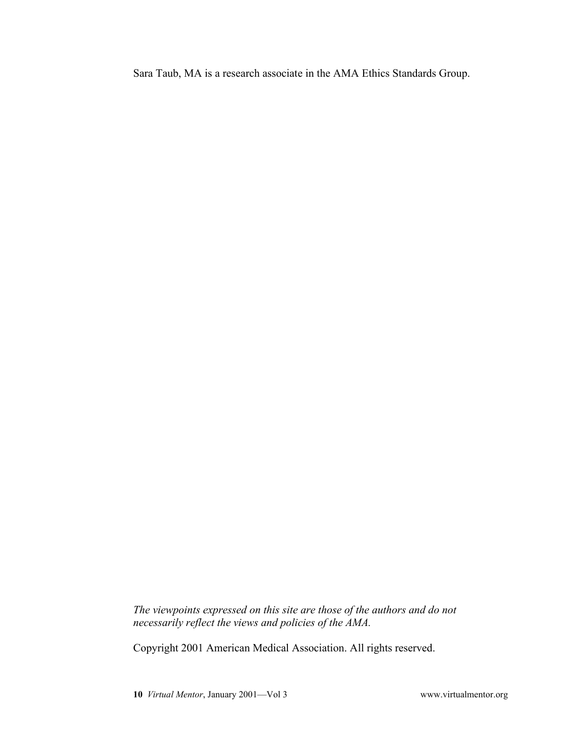Sara Taub, MA is a research associate in the AMA Ethics Standards Group.

*The viewpoints expressed on this site are those of the authors and do not necessarily reflect the views and policies of the AMA.*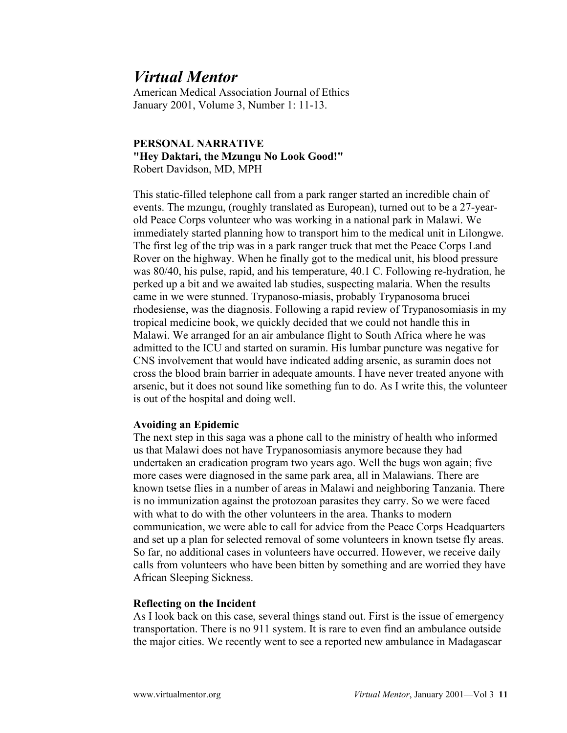American Medical Association Journal of Ethics January 2001, Volume 3, Number 1: 11-13.

### **PERSONAL NARRATIVE "Hey Daktari, the Mzungu No Look Good!"** Robert Davidson, MD, MPH

This static-filled telephone call from a park ranger started an incredible chain of events. The mzungu, (roughly translated as European), turned out to be a 27-yearold Peace Corps volunteer who was working in a national park in Malawi. We immediately started planning how to transport him to the medical unit in Lilongwe. The first leg of the trip was in a park ranger truck that met the Peace Corps Land Rover on the highway. When he finally got to the medical unit, his blood pressure was 80/40, his pulse, rapid, and his temperature, 40.1 C. Following re-hydration, he perked up a bit and we awaited lab studies, suspecting malaria. When the results came in we were stunned. Trypanoso-miasis, probably Trypanosoma brucei rhodesiense, was the diagnosis. Following a rapid review of Trypanosomiasis in my tropical medicine book, we quickly decided that we could not handle this in Malawi. We arranged for an air ambulance flight to South Africa where he was admitted to the ICU and started on suramin. His lumbar puncture was negative for CNS involvement that would have indicated adding arsenic, as suramin does not cross the blood brain barrier in adequate amounts. I have never treated anyone with arsenic, but it does not sound like something fun to do. As I write this, the volunteer is out of the hospital and doing well.

#### **Avoiding an Epidemic**

The next step in this saga was a phone call to the ministry of health who informed us that Malawi does not have Trypanosomiasis anymore because they had undertaken an eradication program two years ago. Well the bugs won again; five more cases were diagnosed in the same park area, all in Malawians. There are known tsetse flies in a number of areas in Malawi and neighboring Tanzania. There is no immunization against the protozoan parasites they carry. So we were faced with what to do with the other volunteers in the area. Thanks to modern communication, we were able to call for advice from the Peace Corps Headquarters and set up a plan for selected removal of some volunteers in known tsetse fly areas. So far, no additional cases in volunteers have occurred. However, we receive daily calls from volunteers who have been bitten by something and are worried they have African Sleeping Sickness.

### **Reflecting on the Incident**

As I look back on this case, several things stand out. First is the issue of emergency transportation. There is no 911 system. It is rare to even find an ambulance outside the major cities. We recently went to see a reported new ambulance in Madagascar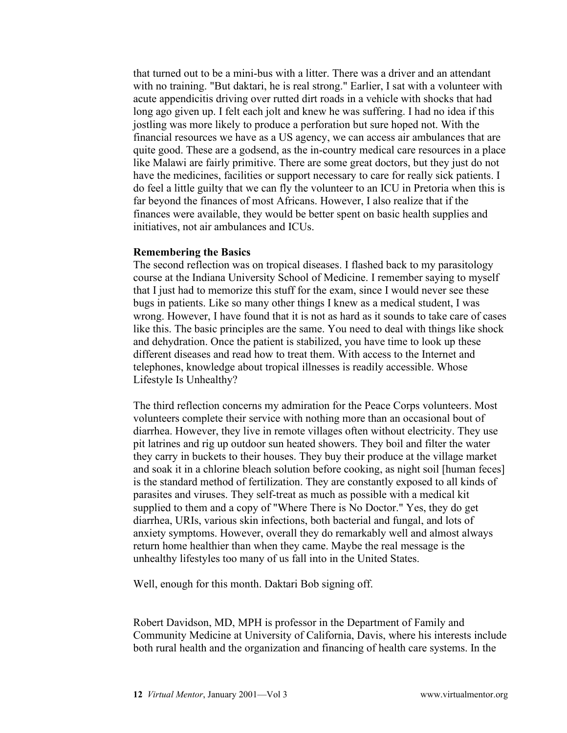that turned out to be a mini-bus with a litter. There was a driver and an attendant with no training. "But daktari, he is real strong." Earlier, I sat with a volunteer with acute appendicitis driving over rutted dirt roads in a vehicle with shocks that had long ago given up. I felt each jolt and knew he was suffering. I had no idea if this jostling was more likely to produce a perforation but sure hoped not. With the financial resources we have as a US agency, we can access air ambulances that are quite good. These are a godsend, as the in-country medical care resources in a place like Malawi are fairly primitive. There are some great doctors, but they just do not have the medicines, facilities or support necessary to care for really sick patients. I do feel a little guilty that we can fly the volunteer to an ICU in Pretoria when this is far beyond the finances of most Africans. However, I also realize that if the finances were available, they would be better spent on basic health supplies and initiatives, not air ambulances and ICUs.

#### **Remembering the Basics**

The second reflection was on tropical diseases. I flashed back to my parasitology course at the Indiana University School of Medicine. I remember saying to myself that I just had to memorize this stuff for the exam, since I would never see these bugs in patients. Like so many other things I knew as a medical student, I was wrong. However, I have found that it is not as hard as it sounds to take care of cases like this. The basic principles are the same. You need to deal with things like shock and dehydration. Once the patient is stabilized, you have time to look up these different diseases and read how to treat them. With access to the Internet and telephones, knowledge about tropical illnesses is readily accessible. Whose Lifestyle Is Unhealthy?

The third reflection concerns my admiration for the Peace Corps volunteers. Most volunteers complete their service with nothing more than an occasional bout of diarrhea. However, they live in remote villages often without electricity. They use pit latrines and rig up outdoor sun heated showers. They boil and filter the water they carry in buckets to their houses. They buy their produce at the village market and soak it in a chlorine bleach solution before cooking, as night soil [human feces] is the standard method of fertilization. They are constantly exposed to all kinds of parasites and viruses. They self-treat as much as possible with a medical kit supplied to them and a copy of "Where There is No Doctor." Yes, they do get diarrhea, URIs, various skin infections, both bacterial and fungal, and lots of anxiety symptoms. However, overall they do remarkably well and almost always return home healthier than when they came. Maybe the real message is the unhealthy lifestyles too many of us fall into in the United States.

Well, enough for this month. Daktari Bob signing off.

Robert Davidson, MD, MPH is professor in the Department of Family and Community Medicine at University of California, Davis, where his interests include both rural health and the organization and financing of health care systems. In the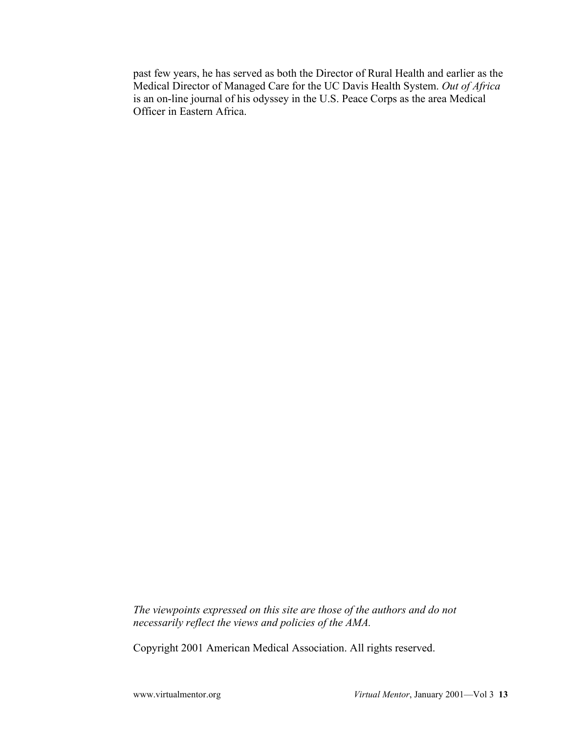past few years, he has served as both the Director of Rural Health and earlier as the Medical Director of Managed Care for the UC Davis Health System. *Out of Africa* is an on-line journal of his odyssey in the U.S. Peace Corps as the area Medical Officer in Eastern Africa.

*The viewpoints expressed on this site are those of the authors and do not necessarily reflect the views and policies of the AMA.*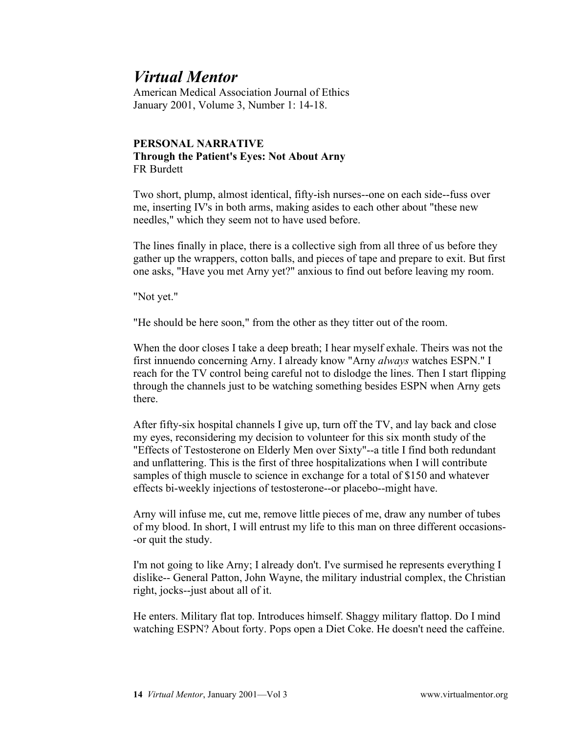American Medical Association Journal of Ethics January 2001, Volume 3, Number 1: 14-18.

## **PERSONAL NARRATIVE Through the Patient's Eyes: Not About Arny** FR Burdett

Two short, plump, almost identical, fifty-ish nurses--one on each side--fuss over me, inserting IV's in both arms, making asides to each other about "these new needles," which they seem not to have used before.

The lines finally in place, there is a collective sigh from all three of us before they gather up the wrappers, cotton balls, and pieces of tape and prepare to exit. But first one asks, "Have you met Arny yet?" anxious to find out before leaving my room.

"Not yet."

"He should be here soon," from the other as they titter out of the room.

When the door closes I take a deep breath; I hear myself exhale. Theirs was not the first innuendo concerning Arny. I already know "Arny *always* watches ESPN." I reach for the TV control being careful not to dislodge the lines. Then I start flipping through the channels just to be watching something besides ESPN when Arny gets there.

After fifty-six hospital channels I give up, turn off the TV, and lay back and close my eyes, reconsidering my decision to volunteer for this six month study of the "Effects of Testosterone on Elderly Men over Sixty"--a title I find both redundant and unflattering. This is the first of three hospitalizations when I will contribute samples of thigh muscle to science in exchange for a total of \$150 and whatever effects bi-weekly injections of testosterone--or placebo--might have.

Arny will infuse me, cut me, remove little pieces of me, draw any number of tubes of my blood. In short, I will entrust my life to this man on three different occasions- -or quit the study.

I'm not going to like Arny; I already don't. I've surmised he represents everything I dislike-- General Patton, John Wayne, the military industrial complex, the Christian right, jocks--just about all of it.

He enters. Military flat top. Introduces himself. Shaggy military flattop. Do I mind watching ESPN? About forty. Pops open a Diet Coke. He doesn't need the caffeine.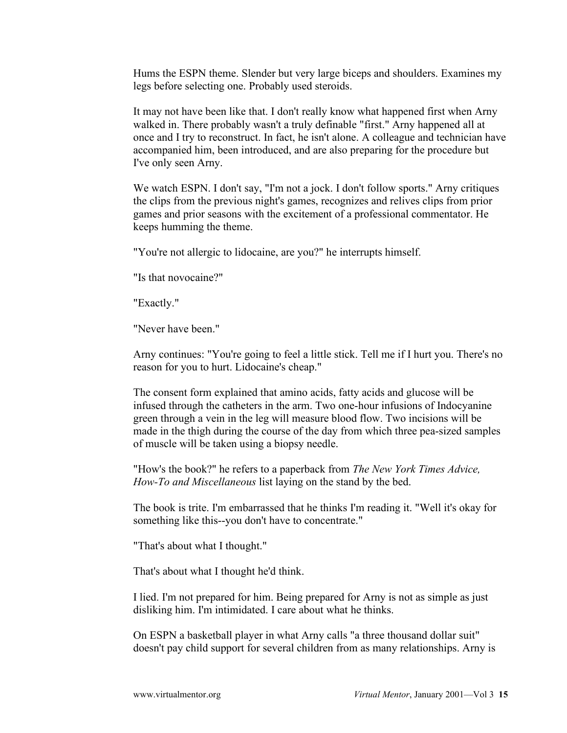Hums the ESPN theme. Slender but very large biceps and shoulders. Examines my legs before selecting one. Probably used steroids.

It may not have been like that. I don't really know what happened first when Arny walked in. There probably wasn't a truly definable "first." Arny happened all at once and I try to reconstruct. In fact, he isn't alone. A colleague and technician have accompanied him, been introduced, and are also preparing for the procedure but I've only seen Arny.

We watch ESPN. I don't say, "I'm not a jock. I don't follow sports." Arny critiques the clips from the previous night's games, recognizes and relives clips from prior games and prior seasons with the excitement of a professional commentator. He keeps humming the theme.

"You're not allergic to lidocaine, are you?" he interrupts himself.

"Is that novocaine?"

"Exactly."

"Never have been."

Arny continues: "You're going to feel a little stick. Tell me if I hurt you. There's no reason for you to hurt. Lidocaine's cheap."

The consent form explained that amino acids, fatty acids and glucose will be infused through the catheters in the arm. Two one-hour infusions of Indocyanine green through a vein in the leg will measure blood flow. Two incisions will be made in the thigh during the course of the day from which three pea-sized samples of muscle will be taken using a biopsy needle.

"How's the book?" he refers to a paperback from *The New York Times Advice, How-To and Miscellaneous* list laying on the stand by the bed.

The book is trite. I'm embarrassed that he thinks I'm reading it. "Well it's okay for something like this--you don't have to concentrate."

"That's about what I thought."

That's about what I thought he'd think.

I lied. I'm not prepared for him. Being prepared for Arny is not as simple as just disliking him. I'm intimidated. I care about what he thinks.

On ESPN a basketball player in what Arny calls "a three thousand dollar suit" doesn't pay child support for several children from as many relationships. Arny is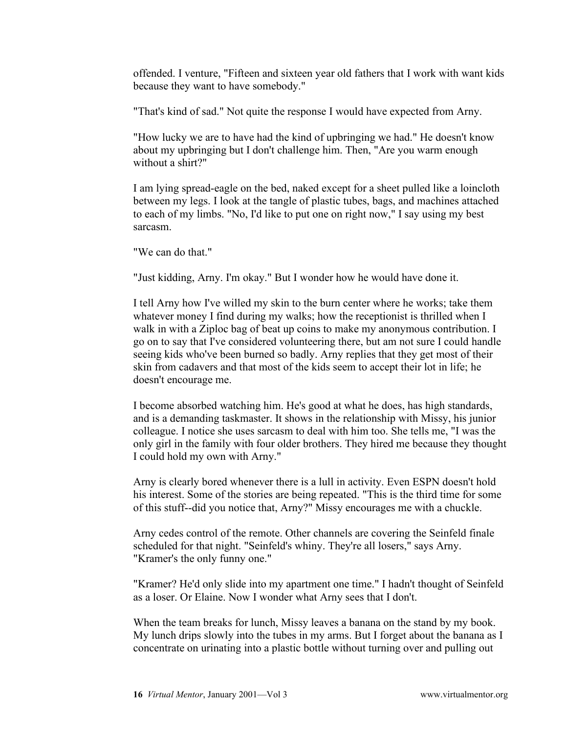offended. I venture, "Fifteen and sixteen year old fathers that I work with want kids because they want to have somebody."

"That's kind of sad." Not quite the response I would have expected from Arny.

"How lucky we are to have had the kind of upbringing we had." He doesn't know about my upbringing but I don't challenge him. Then, "Are you warm enough without a shirt?"

I am lying spread-eagle on the bed, naked except for a sheet pulled like a loincloth between my legs. I look at the tangle of plastic tubes, bags, and machines attached to each of my limbs. "No, I'd like to put one on right now," I say using my best sarcasm.

"We can do that."

"Just kidding, Arny. I'm okay." But I wonder how he would have done it.

I tell Arny how I've willed my skin to the burn center where he works; take them whatever money I find during my walks; how the receptionist is thrilled when I walk in with a Ziploc bag of beat up coins to make my anonymous contribution. I go on to say that I've considered volunteering there, but am not sure I could handle seeing kids who've been burned so badly. Arny replies that they get most of their skin from cadavers and that most of the kids seem to accept their lot in life; he doesn't encourage me.

I become absorbed watching him. He's good at what he does, has high standards, and is a demanding taskmaster. It shows in the relationship with Missy, his junior colleague. I notice she uses sarcasm to deal with him too. She tells me, "I was the only girl in the family with four older brothers. They hired me because they thought I could hold my own with Arny."

Arny is clearly bored whenever there is a lull in activity. Even ESPN doesn't hold his interest. Some of the stories are being repeated. "This is the third time for some of this stuff--did you notice that, Arny?" Missy encourages me with a chuckle.

Arny cedes control of the remote. Other channels are covering the Seinfeld finale scheduled for that night. "Seinfeld's whiny. They're all losers," says Arny. "Kramer's the only funny one."

"Kramer? He'd only slide into my apartment one time." I hadn't thought of Seinfeld as a loser. Or Elaine. Now I wonder what Arny sees that I don't.

When the team breaks for lunch, Missy leaves a banana on the stand by my book. My lunch drips slowly into the tubes in my arms. But I forget about the banana as I concentrate on urinating into a plastic bottle without turning over and pulling out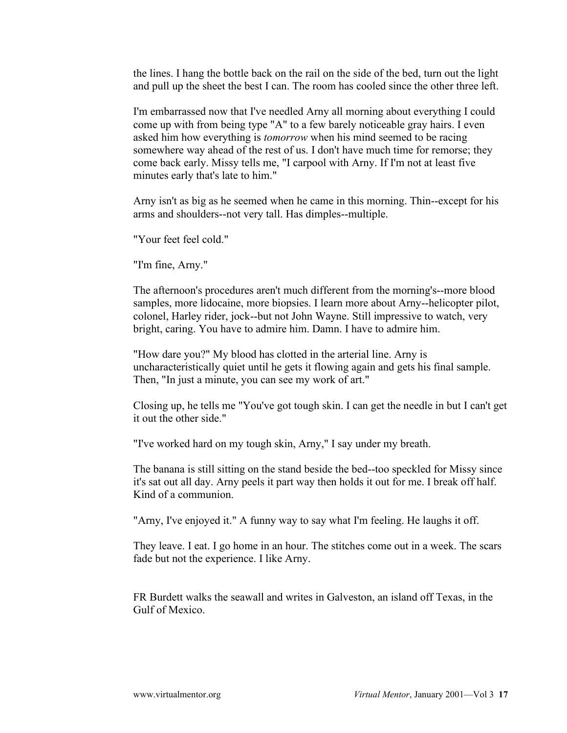the lines. I hang the bottle back on the rail on the side of the bed, turn out the light and pull up the sheet the best I can. The room has cooled since the other three left.

I'm embarrassed now that I've needled Arny all morning about everything I could come up with from being type "A" to a few barely noticeable gray hairs. I even asked him how everything is *tomorrow* when his mind seemed to be racing somewhere way ahead of the rest of us. I don't have much time for remorse; they come back early. Missy tells me, "I carpool with Arny. If I'm not at least five minutes early that's late to him."

Arny isn't as big as he seemed when he came in this morning. Thin--except for his arms and shoulders--not very tall. Has dimples--multiple.

"Your feet feel cold."

"I'm fine, Arny."

The afternoon's procedures aren't much different from the morning's--more blood samples, more lidocaine, more biopsies. I learn more about Arny--helicopter pilot, colonel, Harley rider, jock--but not John Wayne. Still impressive to watch, very bright, caring. You have to admire him. Damn. I have to admire him.

"How dare you?" My blood has clotted in the arterial line. Arny is uncharacteristically quiet until he gets it flowing again and gets his final sample. Then, "In just a minute, you can see my work of art."

Closing up, he tells me "You've got tough skin. I can get the needle in but I can't get it out the other side."

"I've worked hard on my tough skin, Arny," I say under my breath.

The banana is still sitting on the stand beside the bed--too speckled for Missy since it's sat out all day. Arny peels it part way then holds it out for me. I break off half. Kind of a communion.

"Arny, I've enjoyed it." A funny way to say what I'm feeling. He laughs it off.

They leave. I eat. I go home in an hour. The stitches come out in a week. The scars fade but not the experience. I like Arny.

FR Burdett walks the seawall and writes in Galveston, an island off Texas, in the Gulf of Mexico.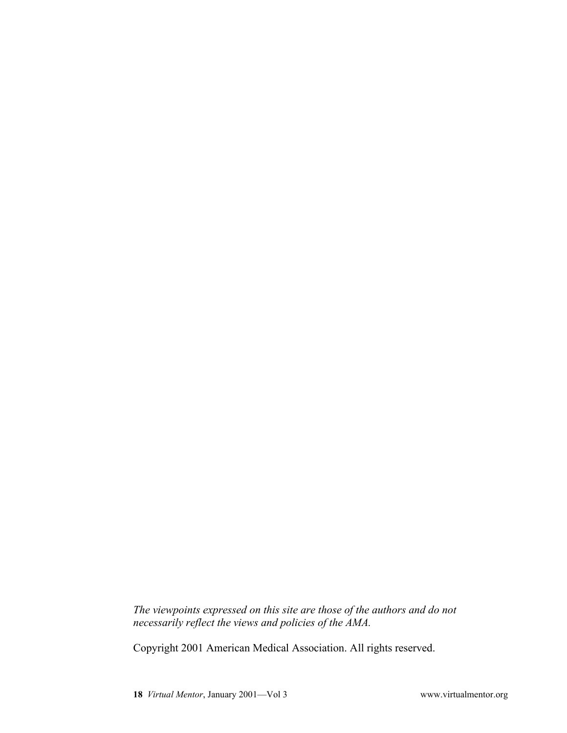*The viewpoints expressed on this site are those of the authors and do not necessarily reflect the views and policies of the AMA.*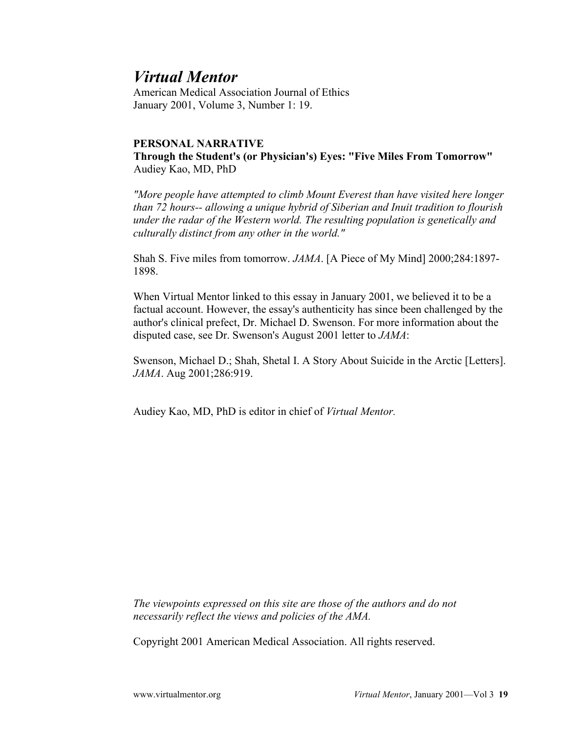American Medical Association Journal of Ethics January 2001, Volume 3, Number 1: 19.

### **PERSONAL NARRATIVE**

**Through the Student's (or Physician's) Eyes: "Five Miles From Tomorrow"** Audiey Kao, MD, PhD

*"More people have attempted to climb Mount Everest than have visited here longer than 72 hours-- allowing a unique hybrid of Siberian and Inuit tradition to flourish under the radar of the Western world. The resulting population is genetically and culturally distinct from any other in the world."*

Shah S. Five miles from tomorrow. *JAMA*. [A Piece of My Mind] 2000;284:1897- 1898.

When Virtual Mentor linked to this essay in January 2001, we believed it to be a factual account. However, the essay's authenticity has since been challenged by the author's clinical prefect, Dr. Michael D. Swenson. For more information about the disputed case, see Dr. Swenson's August 2001 letter to *JAMA*:

Swenson, Michael D.; Shah, Shetal I. A Story About Suicide in the Arctic [Letters]. *JAMA*. Aug 2001;286:919.

Audiey Kao, MD, PhD is editor in chief of *Virtual Mentor.*

*The viewpoints expressed on this site are those of the authors and do not necessarily reflect the views and policies of the AMA.*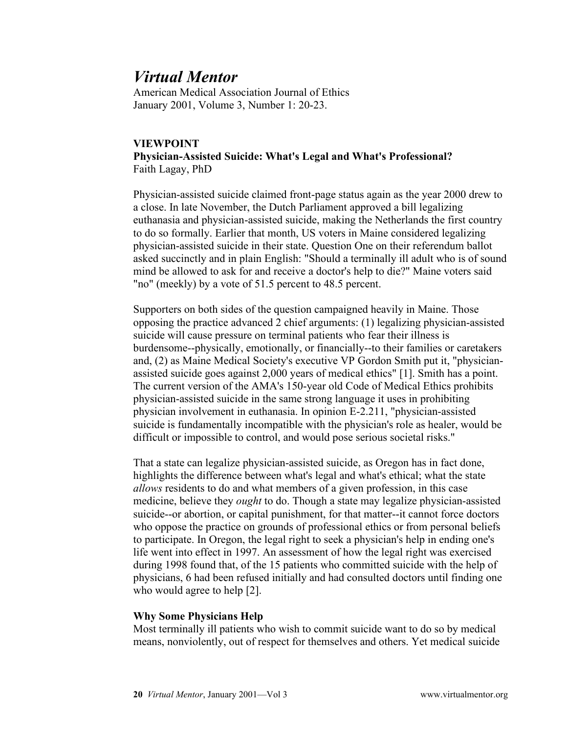American Medical Association Journal of Ethics January 2001, Volume 3, Number 1: 20-23.

### **VIEWPOINT Physician-Assisted Suicide: What's Legal and What's Professional?** Faith Lagay, PhD

Physician-assisted suicide claimed front-page status again as the year 2000 drew to a close. In late November, the Dutch Parliament approved a bill legalizing euthanasia and physician-assisted suicide, making the Netherlands the first country to do so formally. Earlier that month, US voters in Maine considered legalizing physician-assisted suicide in their state. Question One on their referendum ballot asked succinctly and in plain English: "Should a terminally ill adult who is of sound mind be allowed to ask for and receive a doctor's help to die?" Maine voters said "no" (meekly) by a vote of 51.5 percent to 48.5 percent.

Supporters on both sides of the question campaigned heavily in Maine. Those opposing the practice advanced 2 chief arguments: (1) legalizing physician-assisted suicide will cause pressure on terminal patients who fear their illness is burdensome--physically, emotionally, or financially--to their families or caretakers and, (2) as Maine Medical Society's executive VP Gordon Smith put it, "physicianassisted suicide goes against 2,000 years of medical ethics" [1]. Smith has a point. The current version of the AMA's 150-year old Code of Medical Ethics prohibits physician-assisted suicide in the same strong language it uses in prohibiting physician involvement in euthanasia. In opinion E-2.211, "physician-assisted suicide is fundamentally incompatible with the physician's role as healer, would be difficult or impossible to control, and would pose serious societal risks."

That a state can legalize physician-assisted suicide, as Oregon has in fact done, highlights the difference between what's legal and what's ethical; what the state *allows* residents to do and what members of a given profession, in this case medicine, believe they *ought* to do. Though a state may legalize physician-assisted suicide--or abortion, or capital punishment, for that matter--it cannot force doctors who oppose the practice on grounds of professional ethics or from personal beliefs to participate. In Oregon, the legal right to seek a physician's help in ending one's life went into effect in 1997. An assessment of how the legal right was exercised during 1998 found that, of the 15 patients who committed suicide with the help of physicians, 6 had been refused initially and had consulted doctors until finding one who would agree to help [2].

### **Why Some Physicians Help**

Most terminally ill patients who wish to commit suicide want to do so by medical means, nonviolently, out of respect for themselves and others. Yet medical suicide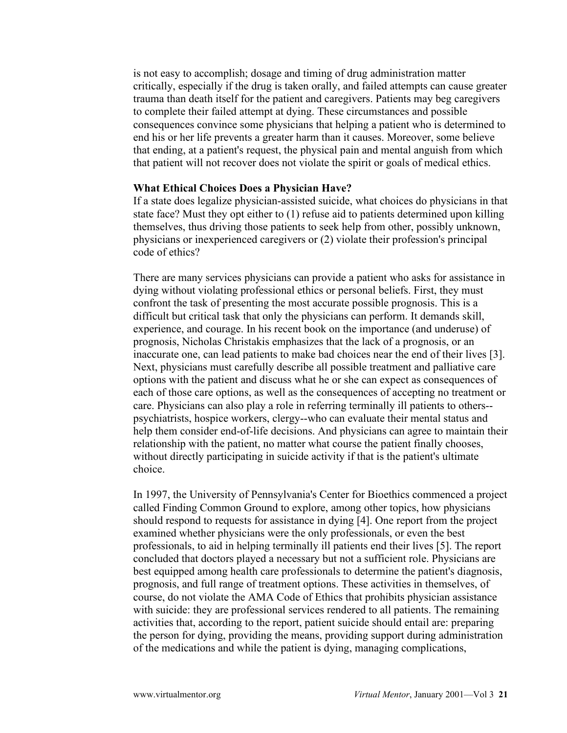is not easy to accomplish; dosage and timing of drug administration matter critically, especially if the drug is taken orally, and failed attempts can cause greater trauma than death itself for the patient and caregivers. Patients may beg caregivers to complete their failed attempt at dying. These circumstances and possible consequences convince some physicians that helping a patient who is determined to end his or her life prevents a greater harm than it causes. Moreover, some believe that ending, at a patient's request, the physical pain and mental anguish from which that patient will not recover does not violate the spirit or goals of medical ethics.

#### **What Ethical Choices Does a Physician Have?**

If a state does legalize physician-assisted suicide, what choices do physicians in that state face? Must they opt either to (1) refuse aid to patients determined upon killing themselves, thus driving those patients to seek help from other, possibly unknown, physicians or inexperienced caregivers or (2) violate their profession's principal code of ethics?

There are many services physicians can provide a patient who asks for assistance in dying without violating professional ethics or personal beliefs. First, they must confront the task of presenting the most accurate possible prognosis. This is a difficult but critical task that only the physicians can perform. It demands skill, experience, and courage. In his recent book on the importance (and underuse) of prognosis, Nicholas Christakis emphasizes that the lack of a prognosis, or an inaccurate one, can lead patients to make bad choices near the end of their lives [3]. Next, physicians must carefully describe all possible treatment and palliative care options with the patient and discuss what he or she can expect as consequences of each of those care options, as well as the consequences of accepting no treatment or care. Physicians can also play a role in referring terminally ill patients to others- psychiatrists, hospice workers, clergy--who can evaluate their mental status and help them consider end-of-life decisions. And physicians can agree to maintain their relationship with the patient, no matter what course the patient finally chooses, without directly participating in suicide activity if that is the patient's ultimate choice.

In 1997, the University of Pennsylvania's Center for Bioethics commenced a project called Finding Common Ground to explore, among other topics, how physicians should respond to requests for assistance in dying [4]. One report from the project examined whether physicians were the only professionals, or even the best professionals, to aid in helping terminally ill patients end their lives [5]. The report concluded that doctors played a necessary but not a sufficient role. Physicians are best equipped among health care professionals to determine the patient's diagnosis, prognosis, and full range of treatment options. These activities in themselves, of course, do not violate the AMA Code of Ethics that prohibits physician assistance with suicide: they are professional services rendered to all patients. The remaining activities that, according to the report, patient suicide should entail are: preparing the person for dying, providing the means, providing support during administration of the medications and while the patient is dying, managing complications,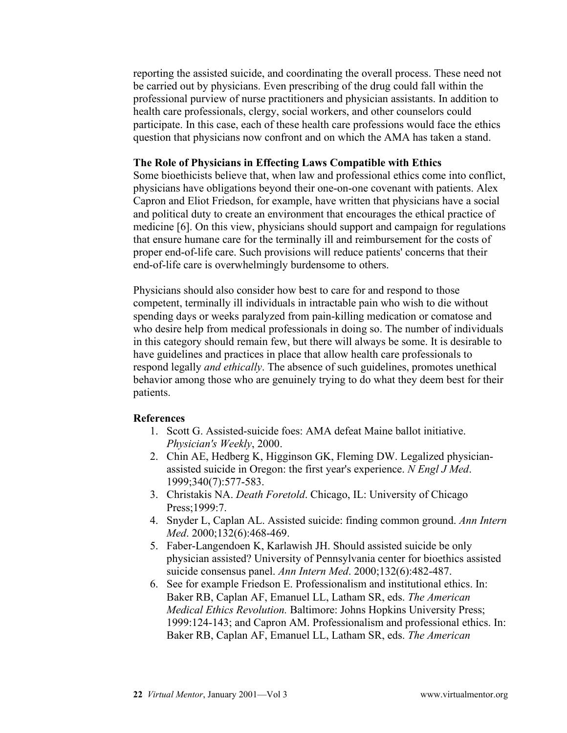reporting the assisted suicide, and coordinating the overall process. These need not be carried out by physicians. Even prescribing of the drug could fall within the professional purview of nurse practitioners and physician assistants. In addition to health care professionals, clergy, social workers, and other counselors could participate. In this case, each of these health care professions would face the ethics question that physicians now confront and on which the AMA has taken a stand.

#### **The Role of Physicians in Effecting Laws Compatible with Ethics**

Some bioethicists believe that, when law and professional ethics come into conflict, physicians have obligations beyond their one-on-one covenant with patients. Alex Capron and Eliot Friedson, for example, have written that physicians have a social and political duty to create an environment that encourages the ethical practice of medicine [6]. On this view, physicians should support and campaign for regulations that ensure humane care for the terminally ill and reimbursement for the costs of proper end-of-life care. Such provisions will reduce patients' concerns that their end-of-life care is overwhelmingly burdensome to others.

Physicians should also consider how best to care for and respond to those competent, terminally ill individuals in intractable pain who wish to die without spending days or weeks paralyzed from pain-killing medication or comatose and who desire help from medical professionals in doing so. The number of individuals in this category should remain few, but there will always be some. It is desirable to have guidelines and practices in place that allow health care professionals to respond legally *and ethically*. The absence of such guidelines, promotes unethical behavior among those who are genuinely trying to do what they deem best for their patients.

#### **References**

- 1. Scott G. Assisted-suicide foes: AMA defeat Maine ballot initiative. *Physician's Weekly*, 2000.
- 2. Chin AE, Hedberg K, Higginson GK, Fleming DW. Legalized physicianassisted suicide in Oregon: the first year's experience. *N Engl J Med*. 1999;340(7):577-583.
- 3. Christakis NA. *Death Foretold*. Chicago, IL: University of Chicago Press;1999:7.
- 4. Snyder L, Caplan AL. Assisted suicide: finding common ground. *Ann Intern Med*. 2000;132(6):468-469.
- 5. Faber-Langendoen K, Karlawish JH. Should assisted suicide be only physician assisted? University of Pennsylvania center for bioethics assisted suicide consensus panel. *Ann Intern Med*. 2000;132(6):482-487.
- 6. See for example Friedson E. Professionalism and institutional ethics. In: Baker RB, Caplan AF, Emanuel LL, Latham SR, eds. *The American Medical Ethics Revolution.* Baltimore: Johns Hopkins University Press; 1999:124-143; and Capron AM. Professionalism and professional ethics. In: Baker RB, Caplan AF, Emanuel LL, Latham SR, eds. *The American*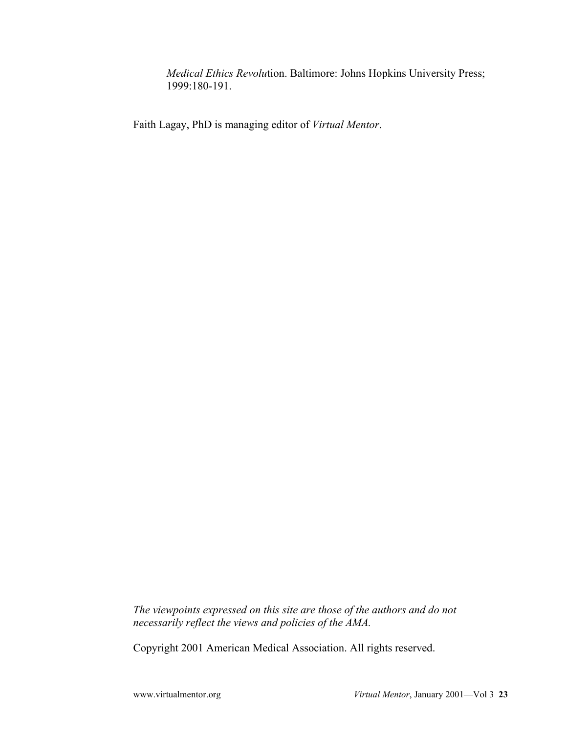*Medical Ethics Revolu*tion. Baltimore: Johns Hopkins University Press; 1999:180-191.

Faith Lagay, PhD is managing editor of *Virtual Mentor*.

*The viewpoints expressed on this site are those of the authors and do not necessarily reflect the views and policies of the AMA.*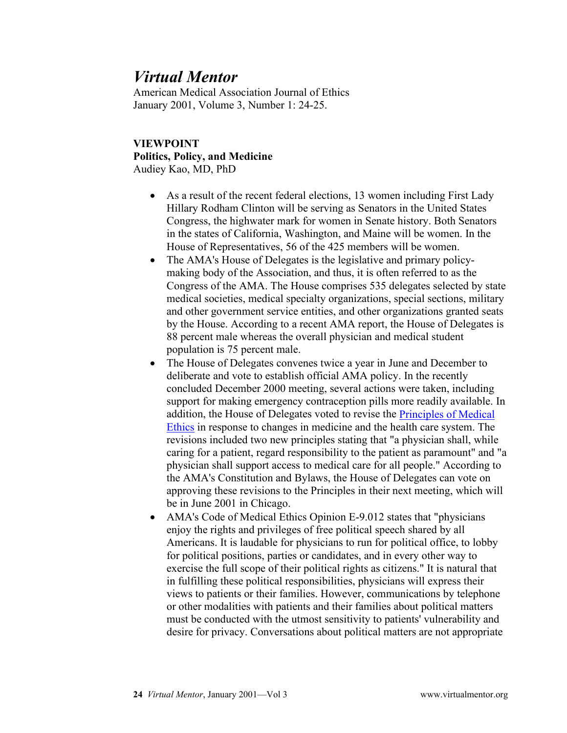American Medical Association Journal of Ethics January 2001, Volume 3, Number 1: 24-25.

## **VIEWPOINT Politics, Policy, and Medicine** Audiey Kao, MD, PhD

- As a result of the recent federal elections, 13 women including First Lady Hillary Rodham Clinton will be serving as Senators in the United States Congress, the highwater mark for women in Senate history. Both Senators in the states of California, Washington, and Maine will be women. In the House of Representatives, 56 of the 425 members will be women.
- The AMA's House of Delegates is the legislative and primary policymaking body of the Association, and thus, it is often referred to as the Congress of the AMA. The House comprises 535 delegates selected by state medical societies, medical specialty organizations, special sections, military and other government service entities, and other organizations granted seats by the House. According to a recent AMA report, the House of Delegates is 88 percent male whereas the overall physician and medical student population is 75 percent male.
- The House of Delegates convenes twice a year in June and December to deliberate and vote to establish official AMA policy. In the recently concluded December 2000 meeting, several actions were taken, including support for making emergency contraception pills more readily available. In addition, the House of Delegates voted to revise the [Principles of Medical](http://www.ama-assn.org/ama/pub/category/2512.html)  [Ethics](http://www.ama-assn.org/ama/pub/category/2512.html) in response to changes in medicine and the health care system. The revisions included two new principles stating that "a physician shall, while caring for a patient, regard responsibility to the patient as paramount" and "a physician shall support access to medical care for all people." According to the AMA's Constitution and Bylaws, the House of Delegates can vote on approving these revisions to the Principles in their next meeting, which will be in June 2001 in Chicago.
- AMA's Code of Medical Ethics Opinion E-9.012 states that "physicians enjoy the rights and privileges of free political speech shared by all Americans. It is laudable for physicians to run for political office, to lobby for political positions, parties or candidates, and in every other way to exercise the full scope of their political rights as citizens." It is natural that in fulfilling these political responsibilities, physicians will express their views to patients or their families. However, communications by telephone or other modalities with patients and their families about political matters must be conducted with the utmost sensitivity to patients' vulnerability and desire for privacy. Conversations about political matters are not appropriate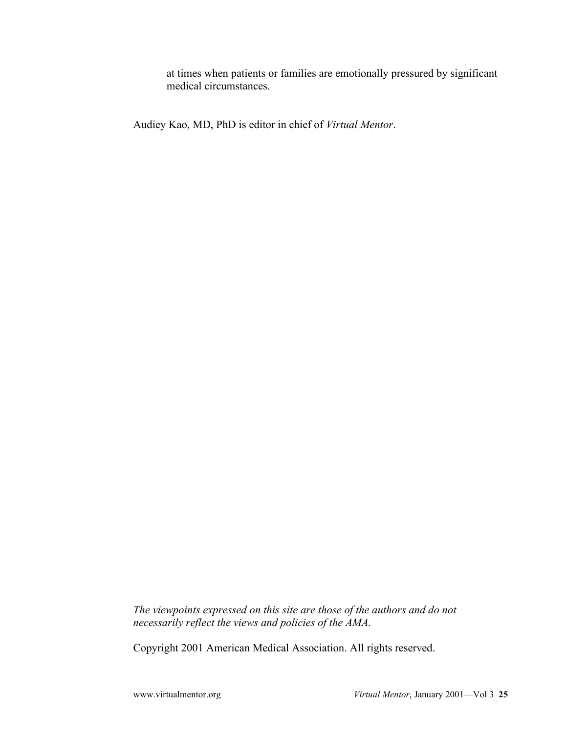at times when patients or families are emotionally pressured by significant medical circumstances.

Audiey Kao, MD, PhD is editor in chief of *Virtual Mentor*.

*The viewpoints expressed on this site are those of the authors and do not necessarily reflect the views and policies of the AMA.*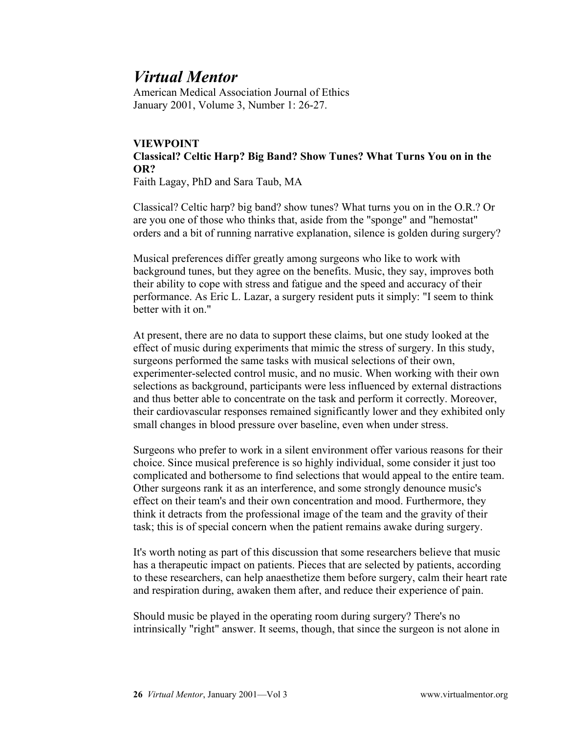American Medical Association Journal of Ethics January 2001, Volume 3, Number 1: 26-27.

### **VIEWPOINT Classical? Celtic Harp? Big Band? Show Tunes? What Turns You on in the OR?**

Faith Lagay, PhD and Sara Taub, MA

Classical? Celtic harp? big band? show tunes? What turns you on in the O.R.? Or are you one of those who thinks that, aside from the "sponge" and "hemostat" orders and a bit of running narrative explanation, silence is golden during surgery?

Musical preferences differ greatly among surgeons who like to work with background tunes, but they agree on the benefits. Music, they say, improves both their ability to cope with stress and fatigue and the speed and accuracy of their performance. As Eric L. Lazar, a surgery resident puts it simply: "I seem to think better with it on "

At present, there are no data to support these claims, but one study looked at the effect of music during experiments that mimic the stress of surgery. In this study, surgeons performed the same tasks with musical selections of their own, experimenter-selected control music, and no music. When working with their own selections as background, participants were less influenced by external distractions and thus better able to concentrate on the task and perform it correctly. Moreover, their cardiovascular responses remained significantly lower and they exhibited only small changes in blood pressure over baseline, even when under stress.

Surgeons who prefer to work in a silent environment offer various reasons for their choice. Since musical preference is so highly individual, some consider it just too complicated and bothersome to find selections that would appeal to the entire team. Other surgeons rank it as an interference, and some strongly denounce music's effect on their team's and their own concentration and mood. Furthermore, they think it detracts from the professional image of the team and the gravity of their task; this is of special concern when the patient remains awake during surgery.

It's worth noting as part of this discussion that some researchers believe that music has a therapeutic impact on patients. Pieces that are selected by patients, according to these researchers, can help anaesthetize them before surgery, calm their heart rate and respiration during, awaken them after, and reduce their experience of pain.

Should music be played in the operating room during surgery? There's no intrinsically "right" answer. It seems, though, that since the surgeon is not alone in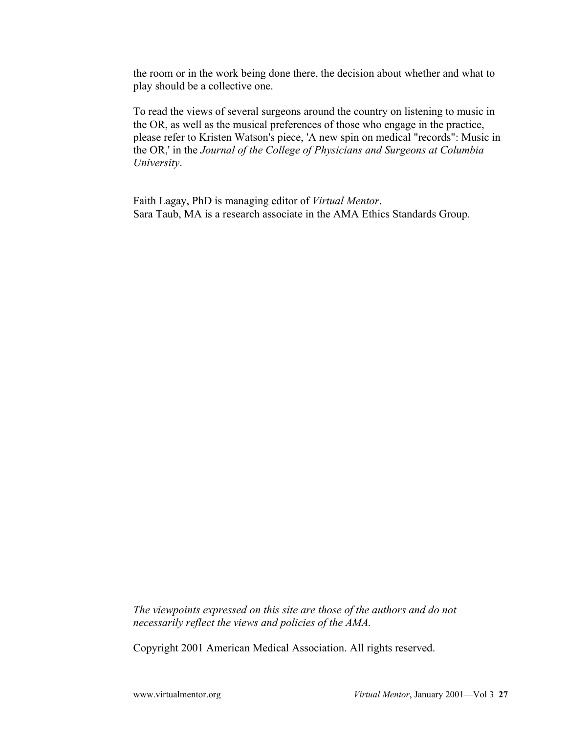the room or in the work being done there, the decision about whether and what to play should be a collective one.

To read the views of several surgeons around the country on listening to music in the OR, as well as the musical preferences of those who engage in the practice, please refer to Kristen Watson's piece, 'A new spin on medical "records": Music in the OR,' in the *Journal of the College of Physicians and Surgeons at Columbia University*.

Faith Lagay, PhD is managing editor of *Virtual Mentor*. Sara Taub, MA is a research associate in the AMA Ethics Standards Group.

*The viewpoints expressed on this site are those of the authors and do not necessarily reflect the views and policies of the AMA.*